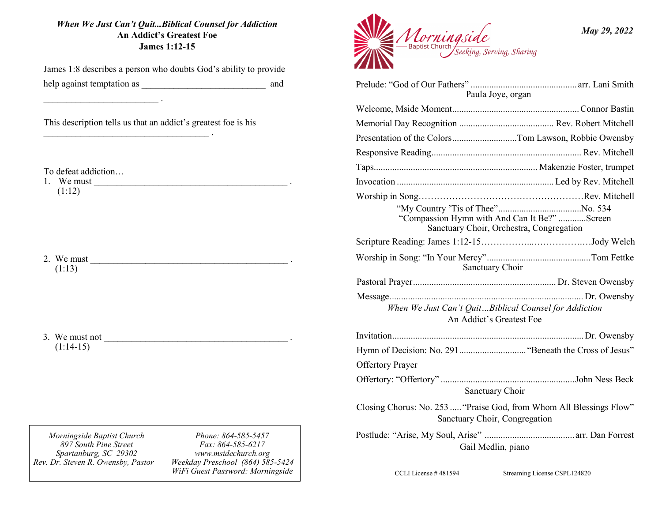#### *When We Just Can't Quit...Biblical Counsel for Addiction* **An Addict's Greatest Foe James 1:12-15**

James 1:8 describes a person who doubts God's ability to provide help against temptation as \_\_\_\_\_\_\_\_\_\_\_\_\_\_\_\_\_\_\_\_\_\_\_\_\_\_\_ and

This description tells us that an addict's greatest foe is his

 $\mathcal{L}_\text{max} = \frac{1}{2} \sum_{i=1}^n \frac{1}{2} \sum_{i=1}^n \frac{1}{2} \sum_{i=1}^n \frac{1}{2} \sum_{i=1}^n \frac{1}{2} \sum_{i=1}^n \frac{1}{2} \sum_{i=1}^n \frac{1}{2} \sum_{i=1}^n \frac{1}{2} \sum_{i=1}^n \frac{1}{2} \sum_{i=1}^n \frac{1}{2} \sum_{i=1}^n \frac{1}{2} \sum_{i=1}^n \frac{1}{2} \sum_{i=1}^n \frac{1}{2} \sum_{i=1}^n$ 

To defeat addiction…

1. We must  $\overline{\phantom{a}}$  $(1:12)$ 

\_\_\_\_\_\_\_\_\_\_\_\_\_\_\_\_\_\_\_\_\_\_\_\_\_ .

2. We must \_\_\_\_\_\_\_\_\_\_\_\_\_\_\_\_\_\_\_\_\_\_\_\_\_\_\_\_\_\_\_\_\_\_\_\_\_\_\_\_\_\_\_ . (1:13)

3. We must not  $\overline{\phantom{a}}$  $(1:14-15)$ 

*Morningside Baptist Church 897 South Pine Street Spartanburg, SC 29302 Rev. Dr. Steven R. Owensby, Pastor* 

*Phone: 864-585-5457 Fax: 864-585-6217 www.msidechurch.org Weekday Preschool (864) 585-5424 WiFi Guest Password: Morningside*



| Paula Joye, organ                                                                                    |  |
|------------------------------------------------------------------------------------------------------|--|
|                                                                                                      |  |
|                                                                                                      |  |
| Presentation of the ColorsTom Lawson, Robbie Owensby                                                 |  |
|                                                                                                      |  |
|                                                                                                      |  |
|                                                                                                      |  |
|                                                                                                      |  |
| "Compassion Hymn with And Can It Be?" Screen<br>Sanctuary Choir, Orchestra, Congregation             |  |
|                                                                                                      |  |
| Sanctuary Choir                                                                                      |  |
|                                                                                                      |  |
|                                                                                                      |  |
| When We Just Can't QuitBiblical Counsel for Addiction<br>An Addict's Greatest Foe                    |  |
|                                                                                                      |  |
|                                                                                                      |  |
| <b>Offertory Prayer</b>                                                                              |  |
| Sanctuary Choir                                                                                      |  |
| Closing Chorus: No. 253  "Praise God, from Whom All Blessings Flow"<br>Sanctuary Choir, Congregation |  |
| Gail Medlin, piano                                                                                   |  |

CCLI License # 481594 Streaming License CSPL124820

*May 29, 2022*